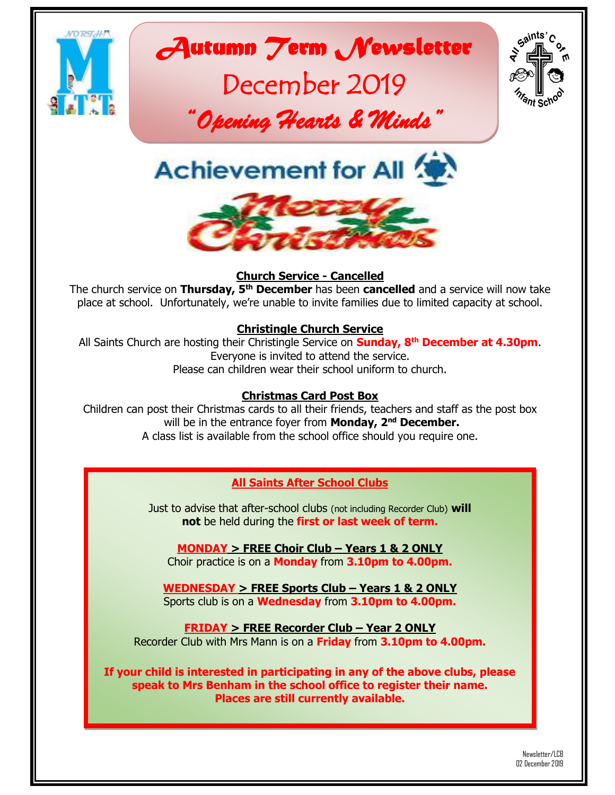

# *Autumn Term Newsletter*

# December 2019



*"Opening Hearts & Minds"* 

**Achievement for All <b>** 



#### **Church Service - Cancelled**

The church service on **Thursday, 5th December** has been **cancelled** and a service will now take place at school. Unfortunately, we're unable to invite families due to limited capacity at school.

#### **Christingle Church Service**

All Saints Church are hosting their Christingle Service on **Sunday, 8th December at 4.30pm**. Everyone is invited to attend the service. Please can children wear their school uniform to church.

#### **Christmas Card Post Box**

Children can post their Christmas cards to all their friends, teachers and staff as the post box will be in the entrance foyer from **Monday, 2nd December.** A class list is available from the school office should you require one.

#### **All Saints After School Clubs**

Just to advise that after-school clubs (not including Recorder Club) **will not** be held during the **first or last week of term.**

**MONDAY > FREE Choir Club – Years 1 & 2 ONLY** Choir practice is on a **Monday** from **3.10pm to 4.00pm.**

**WEDNESDAY > FREE Sports Club – Years 1 & 2 ONLY** Sports club is on a **Wednesday** from **3.10pm to 4.00pm.**

**FRIDAY > FREE Recorder Club – Year 2 ONLY** Recorder Club with Mrs Mann is on a **Friday** from **3.10pm to 4.00pm.**

**If your child is interested in participating in any of the above clubs, please speak to Mrs Benham in the school office to register their name. Places are still currently available.**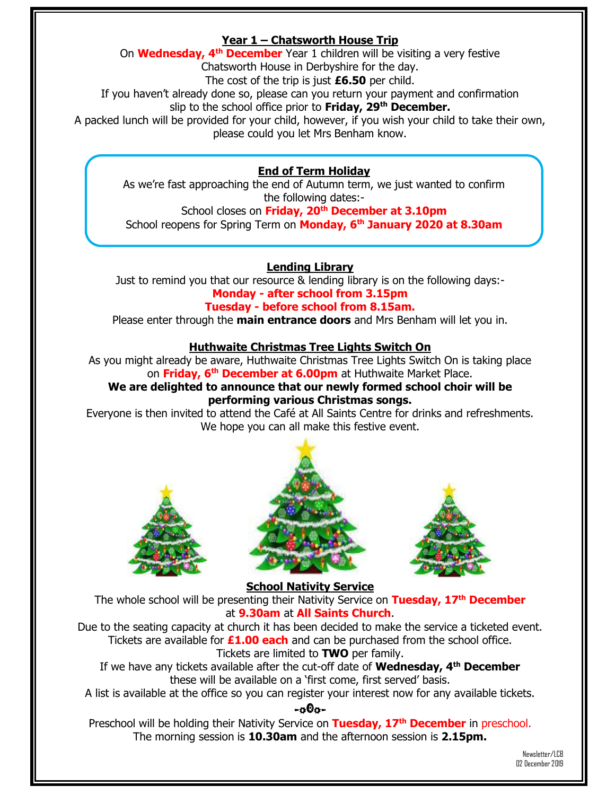#### **Year 1 – Chatsworth House Trip**

On **Wednesday, 4th December** Year 1 children will be visiting a very festive

Chatsworth House in Derbyshire for the day.

The cost of the trip is just **£6.50** per child.

If you haven't already done so, please can you return your payment and confirmation

slip to the school office prior to **Friday, 29th December.**

A packed lunch will be provided for your child, however, if you wish your child to take their own, please could you let Mrs Benham know.

#### **End of Term Holiday**

As we're fast approaching the end of Autumn term, we just wanted to confirm the following dates:-

School closes on **Friday, 20th December at 3.10pm** School reopens for Spring Term on **Monday, 6th January 2020 at 8.30am**

#### **Lending Library**

Just to remind you that our resource & lending library is on the following days:- **Monday - after school from 3.15pm**

#### **Tuesday - before school from 8.15am.**

Please enter through the **main entrance doors** and Mrs Benham will let you in.

#### **Huthwaite Christmas Tree Lights Switch On**

As you might already be aware, Huthwaite Christmas Tree Lights Switch On is taking place on **Friday, 6th December at 6.00pm** at Huthwaite Market Place.

#### **We are delighted to announce that our newly formed school choir will be performing various Christmas songs.**

Everyone is then invited to attend the Café at All Saints Centre for drinks and refreshments. We hope you can all make this festive event.







**School Nativity Service**

The whole school will be presenting their Nativity Service on **Tuesday, 17th December** at **9.30am** at **All Saints Church**.

Due to the seating capacity at church it has been decided to make the service a ticketed event. Tickets are available for **£1.00 each** and can be purchased from the school office. Tickets are limited to **TWO** per family.

If we have any tickets available after the cut-off date of **Wednesday, 4th December** these will be available on a 'first come, first served' basis.

A list is available at the office so you can register your interest now for any available tickets.

#### -o0o-

Preschool will be holding their Nativity Service on **Tuesday, 17th December** in preschool. The morning session is **10.30am** and the afternoon session is **2.15pm.**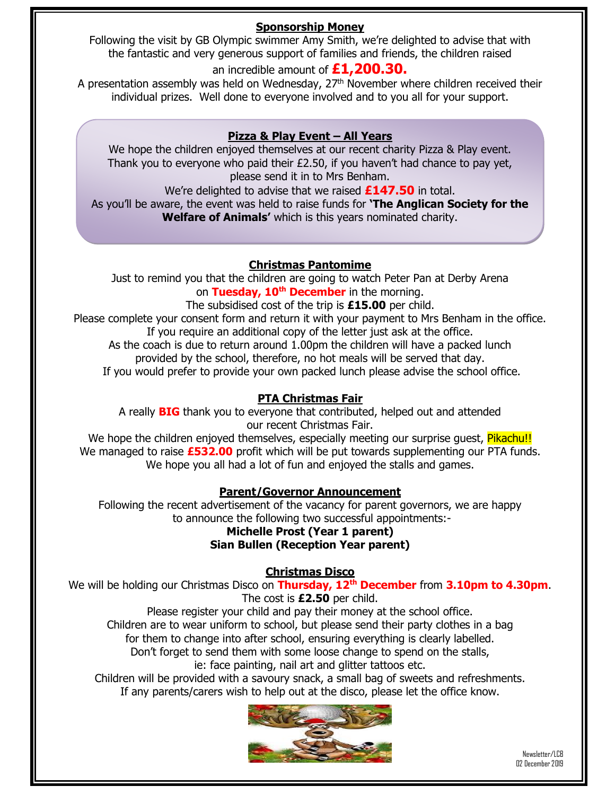#### **Sponsorship Money**

Following the visit by GB Olympic swimmer Amy Smith, we're delighted to advise that with the fantastic and very generous support of families and friends, the children raised

an incredible amount of **£1,200.30.** 

A presentation assembly was held on Wednesday,  $27<sup>th</sup>$  November where children received their individual prizes. Well done to everyone involved and to you all for your support.

#### **Pizza & Play Event – All Years**

We hope the children enjoyed themselves at our recent charity Pizza & Play event. Thank you to everyone who paid their £2.50, if you haven't had chance to pay yet, please send it in to Mrs Benham.

We're delighted to advise that we raised **£147.50** in total.

As you'll be aware, the event was held to raise funds for **'The Anglican Society for the Welfare of Animals'** which is this years nominated charity.

#### **Christmas Pantomime**

Just to remind you that the children are going to watch Peter Pan at Derby Arena on **Tuesday, 10th December** in the morning.

The subsidised cost of the trip is **£15.00** per child.

Please complete your consent form and return it with your payment to Mrs Benham in the office. If you require an additional copy of the letter just ask at the office.

As the coach is due to return around 1.00pm the children will have a packed lunch provided by the school, therefore, no hot meals will be served that day.

If you would prefer to provide your own packed lunch please advise the school office.

#### **PTA Christmas Fair**

A really **BIG** thank you to everyone that contributed, helped out and attended our recent Christmas Fair.

We hope the children enjoyed themselves, especially meeting our surprise guest, Pikachu!! We managed to raise **£532.00** profit which will be put towards supplementing our PTA funds. We hope you all had a lot of fun and enjoyed the stalls and games.

#### **Parent/Governor Announcement**

Following the recent advertisement of the vacancy for parent governors, we are happy to announce the following two successful appointments:-

#### **Michelle Prost (Year 1 parent)**

#### **Sian Bullen (Reception Year parent)**

#### **Christmas Disco**

We will be holding our Christmas Disco on **Thursday, 12th December** from **3.10pm to 4.30pm**. The cost is **£2.50** per child.

Please register your child and pay their money at the school office. Children are to wear uniform to school, but please send their party clothes in a bag for them to change into after school, ensuring everything is clearly labelled. Don't forget to send them with some loose change to spend on the stalls,

ie: face painting, nail art and glitter tattoos etc.

Children will be provided with a savoury snack, a small bag of sweets and refreshments. If any parents/carers wish to help out at the disco, please let the office know.

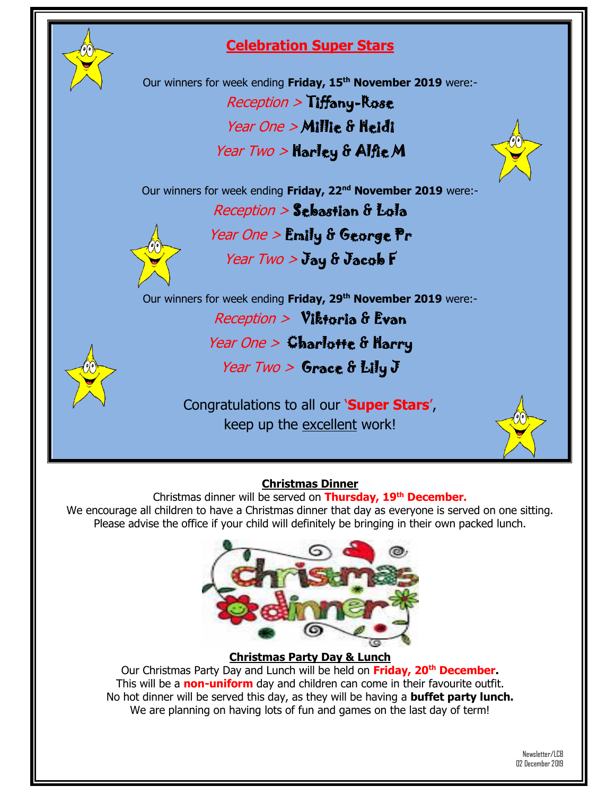

### **Celebration Super Stars**

Our winners for week ending **Friday, 15th November 2019** were:- Reception > Tiffany-Rose Year One > Millie & Heidi

Year Two > Harley & Alfie M



Reception > Sebastian & Lola

Year One > Emily & George Pr



Year  $Two > J$ ay & Jacob F

Our winners for week ending **Friday, 29th November 2019** were:-

Reception > Viktoria & Evan

## Year One  $>$  Charlotte & Harry

Year Two  $>$  Grace & Lily J

Congratulations to all our '**Super Stars**', keep up the excellent work!



#### **Christmas Dinner**

Christmas dinner will be served on **Thursday, 19th December.** We encourage all children to have a Christmas dinner that day as everyone is served on one sitting. Please advise the office if your child will definitely be bringing in their own packed lunch.



#### **Christmas Party Day & Lunch**

Our Christmas Party Day and Lunch will be held on **Friday, 20th December.** This will be a **non-uniform** day and children can come in their favourite outfit. No hot dinner will be served this day, as they will be having a **buffet party lunch.** We are planning on having lots of fun and games on the last day of term!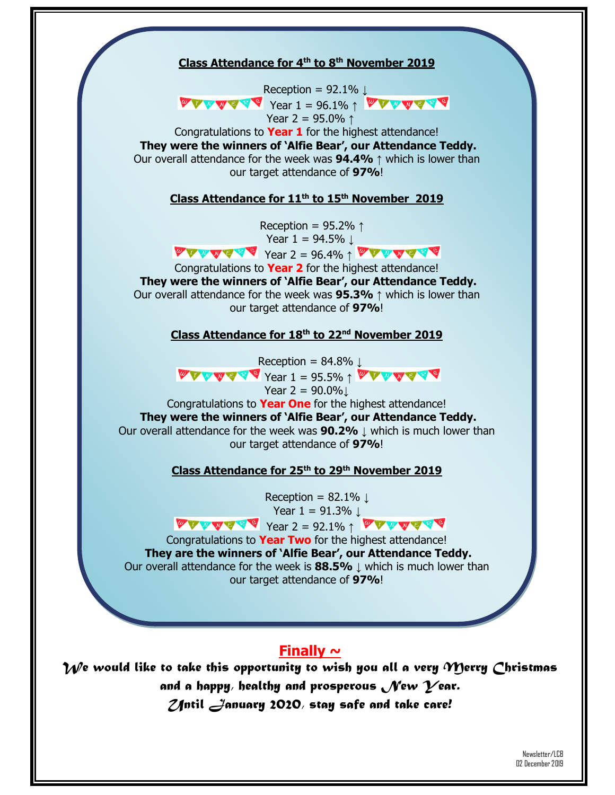